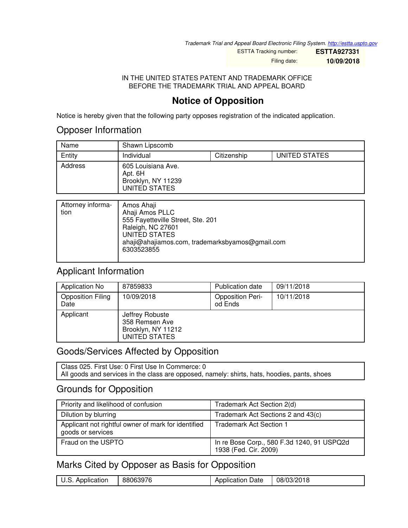*Trademark Trial and Appeal Board Electronic Filing System. <http://estta.uspto.gov>*

ESTTA Tracking number: **ESTTA927331**

Filing date: **10/09/2018**

#### IN THE UNITED STATES PATENT AND TRADEMARK OFFICE BEFORE THE TRADEMARK TRIAL AND APPEAL BOARD

# **Notice of Opposition**

Notice is hereby given that the following party opposes registration of the indicated application.

## Opposer Information

| Name    | Shawn Lipscomb                                                       |             |               |
|---------|----------------------------------------------------------------------|-------------|---------------|
| Entity  | Individual                                                           | Citizenship | UNITED STATES |
| Address | 605 Louisiana Ave.<br>Apt. 6H<br>Brooklyn, NY 11239<br>UNITED STATES |             |               |

| Attorney informa- | Amos Ahaji                                      |
|-------------------|-------------------------------------------------|
| tion              | Ahaji Amos PLLC                                 |
|                   | 555 Fayetteville Street, Ste. 201               |
|                   | Raleigh, NC 27601                               |
|                   | UNITED STATES                                   |
|                   | ahaji@ahajiamos.com, trademarksbyamos@gmail.com |
|                   | 6303523855                                      |
|                   |                                                 |

# Applicant Information

| Application No                   | 87859833                                                                 | Publication date                   | 09/11/2018 |
|----------------------------------|--------------------------------------------------------------------------|------------------------------------|------------|
| <b>Opposition Filing</b><br>Date | 10/09/2018                                                               | <b>Opposition Peri-</b><br>od Ends | 10/11/2018 |
| Applicant                        | Jeffrey Robuste<br>358 Remsen Ave<br>Brooklyn, NY 11212<br>UNITED STATES |                                    |            |

# Goods/Services Affected by Opposition

Class 025. First Use: 0 First Use In Commerce: 0 All goods and services in the class are opposed, namely: shirts, hats, hoodies, pants, shoes

# Grounds for Opposition

| Priority and likelihood of confusion                                     | Trademark Act Section 2(d)                                          |
|--------------------------------------------------------------------------|---------------------------------------------------------------------|
| Dilution by blurring                                                     | Trademark Act Sections 2 and 43(c)                                  |
| Applicant not rightful owner of mark for identified<br>goods or services | Trademark Act Section 1                                             |
| Fraud on the USPTO                                                       | In re Bose Corp., 580 F.3d 1240, 91 USPQ2d<br>1938 (Fed. Cir. 2009) |

# Marks Cited by Opposer as Basis for Opposition

| 88063976<br>$\mathbf{C}$<br>Application<br>U.S. 1 | Application Date | 08/03/2018 |
|---------------------------------------------------|------------------|------------|
|---------------------------------------------------|------------------|------------|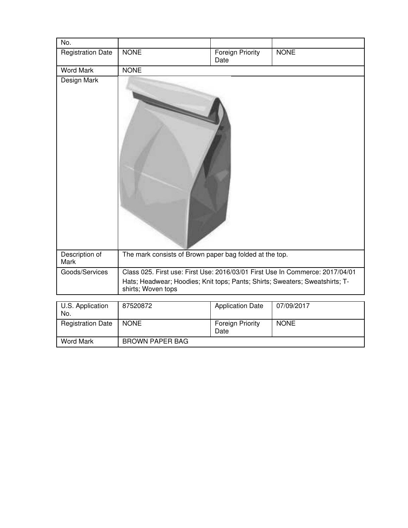| No.                      |                                                                                                    |                                 |             |
|--------------------------|----------------------------------------------------------------------------------------------------|---------------------------------|-------------|
| <b>Registration Date</b> | <b>NONE</b>                                                                                        | <b>Foreign Priority</b><br>Date | <b>NONE</b> |
| <b>Word Mark</b>         | <b>NONE</b>                                                                                        |                                 |             |
| Design Mark              |                                                                                                    |                                 |             |
| Description of<br>Mark   | The mark consists of Brown paper bag folded at the top.                                            |                                 |             |
| Goods/Services           | Class 025. First use: First Use: 2016/03/01 First Use In Commerce: 2017/04/01                      |                                 |             |
|                          | Hats; Headwear; Hoodies; Knit tops; Pants; Shirts; Sweaters; Sweatshirts; T-<br>shirts; Woven tops |                                 |             |
|                          |                                                                                                    |                                 |             |
| U.S. Application<br>No.  | 87520872                                                                                           | <b>Application Date</b>         | 07/09/2017  |
| <b>Registration Date</b> | <b>NONE</b>                                                                                        | Foreign Priority<br>Date        | <b>NONE</b> |

Word Mark BROWN PAPER BAG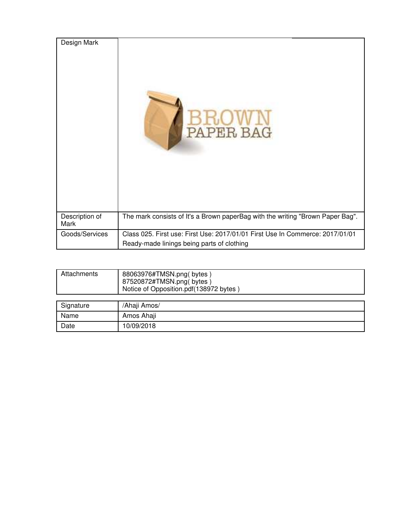| Design Mark            | PAPER BAG                                                                                                                   |
|------------------------|-----------------------------------------------------------------------------------------------------------------------------|
| Description of<br>Mark | The mark consists of It's a Brown paperBag with the writing "Brown Paper Bag".                                              |
| Goods/Services         | Class 025. First use: First Use: 2017/01/01 First Use In Commerce: 2017/01/01<br>Ready-made linings being parts of clothing |

| Attachments | 88063976#TMSN.png(bytes)<br>87520872#TMSN.png(bytes)<br>Notice of Opposition.pdf(138972 bytes) |
|-------------|------------------------------------------------------------------------------------------------|
|             |                                                                                                |
| Signature   | /Ahaji Amos/                                                                                   |
| Name        | Amos Ahaji                                                                                     |

Date 10/09/2018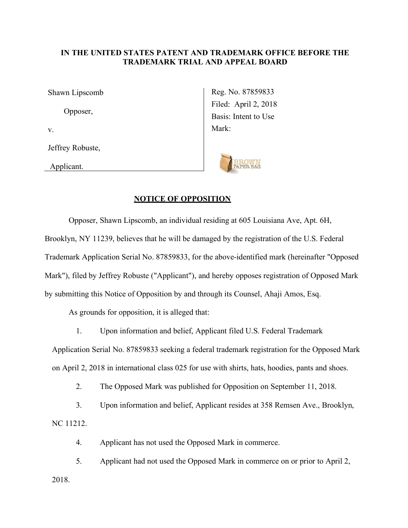### **IN THE UNITED STATES PATENT AND TRADEMARK OFFICE BEFORE THE TRADEMARK TRIAL AND APPEAL BOARD**

Shawn Lipscomb Opposer, v. Jeffrey Robuste,

Applicant.

Reg. No. 87859833 Filed: April 2, 2018 Basis: Intent to Use Mark:



#### **NOTICE OF OPPOSITION**

 Opposer, Shawn Lipscomb, an individual residing at 605 Louisiana Ave, Apt. 6H, Brooklyn, NY 11239, believes that he will be damaged by the registration of the U.S. Federal Trademark Application Serial No. 87859833, for the above-identified mark (hereinafter "Opposed Mark"), filed by Jeffrey Robuste ("Applicant"), and hereby opposes registration of Opposed Mark by submitting this Notice of Opposition by and through its Counsel, Ahaji Amos, Esq.

As grounds for opposition, it is alleged that:

1. Upon information and belief, Applicant filed U.S. Federal Trademark

Application Serial No. 87859833 seeking a federal trademark registration for the Opposed Mark on April 2, 2018 in international class 025 for use with shirts, hats, hoodies, pants and shoes.

2. The Opposed Mark was published for Opposition on September 11, 2018.

3. Upon information and belief, Applicant resides at 358 Remsen Ave., Brooklyn, NC 11212.

4. Applicant has not used the Opposed Mark in commerce.

5. Applicant had not used the Opposed Mark in commerce on or prior to April 2, 2018.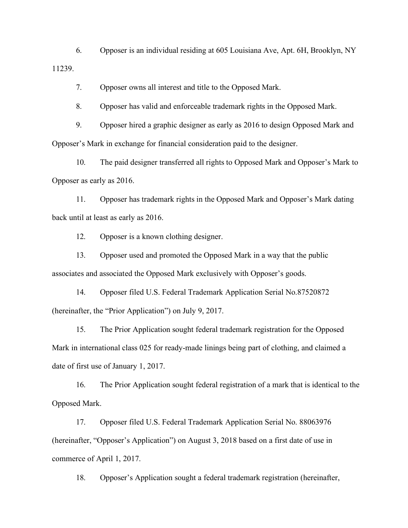6. Opposer is an individual residing at 605 Louisiana Ave, Apt. 6H, Brooklyn, NY 11239.

7. Opposer owns all interest and title to the Opposed Mark.

8. Opposer has valid and enforceable trademark rights in the Opposed Mark.

9. Opposer hired a graphic designer as early as 2016 to design Opposed Mark and Opposer's Mark in exchange for financial consideration paid to the designer.

10. The paid designer transferred all rights to Opposed Mark and Opposer's Mark to Opposer as early as 2016.

11. Opposer has trademark rights in the Opposed Mark and Opposer's Mark dating back until at least as early as 2016.

12. Opposer is a known clothing designer.

13. Opposer used and promoted the Opposed Mark in a way that the public associates and associated the Opposed Mark exclusively with Opposer's goods.

14. Opposer filed U.S. Federal Trademark Application Serial No.87520872 (hereinafter, the "Prior Application") on July 9, 2017.

15. The Prior Application sought federal trademark registration for the Opposed Mark in international class 025 for ready-made linings being part of clothing, and claimed a date of first use of January 1, 2017.

16. The Prior Application sought federal registration of a mark that is identical to the Opposed Mark.

17. Opposer filed U.S. Federal Trademark Application Serial No. 88063976 (hereinafter, "Opposer's Application") on August 3, 2018 based on a first date of use in commerce of April 1, 2017.

18. Opposer's Application sought a federal trademark registration (hereinafter,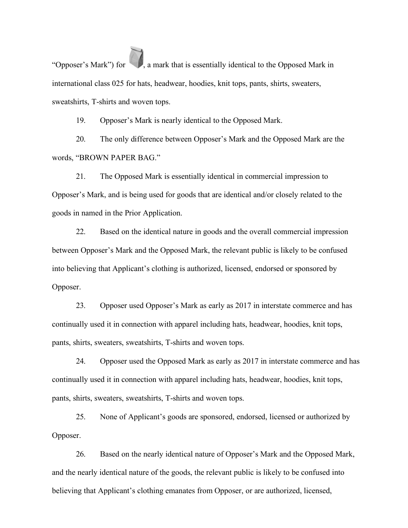"Opposer's Mark") for , a mark that is essentially identical to the Opposed Mark in international class 025 for hats, headwear, hoodies, knit tops, pants, shirts, sweaters, sweatshirts, T-shirts and woven tops.

19. Opposer's Mark is nearly identical to the Opposed Mark.

20. The only difference between Opposer's Mark and the Opposed Mark are the words, "BROWN PAPER BAG."

21. The Opposed Mark is essentially identical in commercial impression to Opposer's Mark, and is being used for goods that are identical and/or closely related to the goods in named in the Prior Application.

22. Based on the identical nature in goods and the overall commercial impression between Opposer's Mark and the Opposed Mark, the relevant public is likely to be confused into believing that Applicant's clothing is authorized, licensed, endorsed or sponsored by Opposer.

23. Opposer used Opposer's Mark as early as 2017 in interstate commerce and has continually used it in connection with apparel including hats, headwear, hoodies, knit tops, pants, shirts, sweaters, sweatshirts, T-shirts and woven tops.

24. Opposer used the Opposed Mark as early as 2017 in interstate commerce and has continually used it in connection with apparel including hats, headwear, hoodies, knit tops, pants, shirts, sweaters, sweatshirts, T-shirts and woven tops.

25. None of Applicant's goods are sponsored, endorsed, licensed or authorized by Opposer.

26. Based on the nearly identical nature of Opposer's Mark and the Opposed Mark, and the nearly identical nature of the goods, the relevant public is likely to be confused into believing that Applicant's clothing emanates from Opposer, or are authorized, licensed,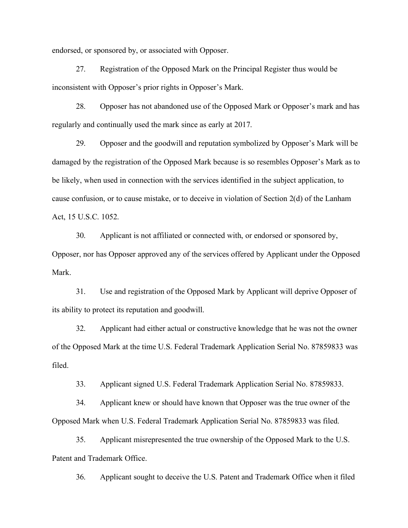endorsed, or sponsored by, or associated with Opposer.

27. Registration of the Opposed Mark on the Principal Register thus would be inconsistent with Opposer's prior rights in Opposer's Mark.

28. Opposer has not abandoned use of the Opposed Mark or Opposer's mark and has regularly and continually used the mark since as early at 2017.

29. Opposer and the goodwill and reputation symbolized by Opposer's Mark will be damaged by the registration of the Opposed Mark because is so resembles Opposer's Mark as to be likely, when used in connection with the services identified in the subject application, to cause confusion, or to cause mistake, or to deceive in violation of Section 2(d) of the Lanham Act, 15 U.S.C. 1052.

30. Applicant is not affiliated or connected with, or endorsed or sponsored by,

Opposer, nor has Opposer approved any of the services offered by Applicant under the Opposed Mark.

31. Use and registration of the Opposed Mark by Applicant will deprive Opposer of its ability to protect its reputation and goodwill.

32. Applicant had either actual or constructive knowledge that he was not the owner of the Opposed Mark at the time U.S. Federal Trademark Application Serial No. 87859833 was filed.

33. Applicant signed U.S. Federal Trademark Application Serial No. 87859833.

34. Applicant knew or should have known that Opposer was the true owner of the Opposed Mark when U.S. Federal Trademark Application Serial No. 87859833 was filed.

35. Applicant misrepresented the true ownership of the Opposed Mark to the U.S. Patent and Trademark Office.

36. Applicant sought to deceive the U.S. Patent and Trademark Office when it filed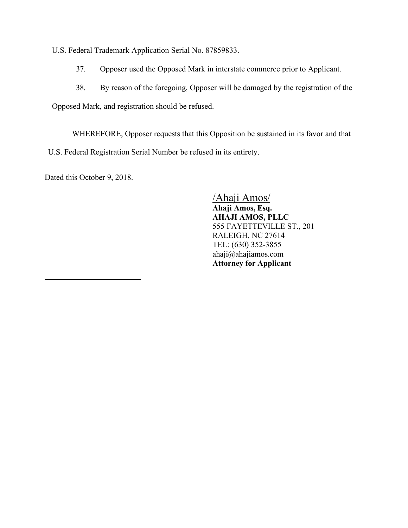U.S. Federal Trademark Application Serial No. 87859833.

- 37. Opposer used the Opposed Mark in interstate commerce prior to Applicant.
- 38. By reason of the foregoing, Opposer will be damaged by the registration of the

Opposed Mark, and registration should be refused.

WHEREFORE, Opposer requests that this Opposition be sustained in its favor and that U.S. Federal Registration Serial Number be refused in its entirety.

Dated this October 9, 2018.

 $\overline{a}$ 

/Ahaji Amos/ **Ahaji Amos, Esq. AHAJI AMOS, PLLC**  555 FAYETTEVILLE ST., 201 RALEIGH, NC 27614 TEL: (630) 352-3855 ahaji@ahajiamos.com **Attorney for Applicant**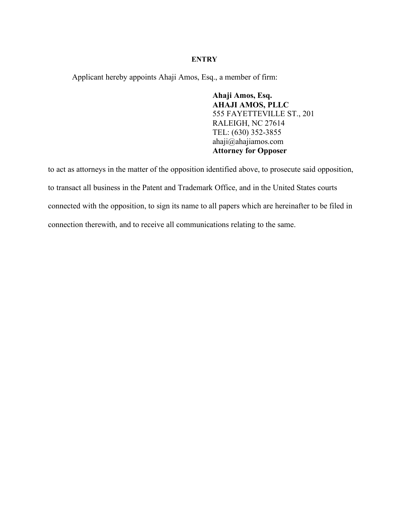### **ENTRY**

Applicant hereby appoints Ahaji Amos, Esq., a member of firm:

**Ahaji Amos, Esq. AHAJI AMOS, PLLC**  555 FAYETTEVILLE ST., 201 RALEIGH, NC 27614 TEL: (630) 352-3855 ahaji@ahajiamos.com **Attorney for Opposer** 

to act as attorneys in the matter of the opposition identified above, to prosecute said opposition, to transact all business in the Patent and Trademark Office, and in the United States courts connected with the opposition, to sign its name to all papers which are hereinafter to be filed in connection therewith, and to receive all communications relating to the same.